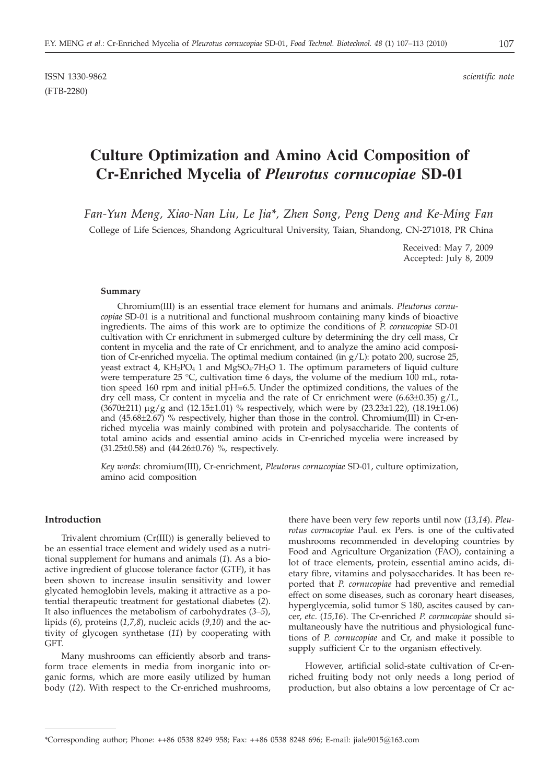# **Culture Optimization and Amino Acid Composition of Cr-Enriched Mycelia of** *Pleurotus cornucopiae* **SD-01**

*Fan-Yun Meng, Xiao-Nan Liu, Le Jia\*, Zhen Song, Peng Deng and Ke-Ming Fan* College of Life Sciences, Shandong Agricultural University, Taian, Shandong, CN-271018, PR China

> Received: May 7, 2009 Accepted: July 8, 2009

#### **Summary**

Chromium(III) is an essential trace element for humans and animals. *Pleutorus cornucopiae* SD-01 is a nutritional and functional mushroom containing many kinds of bioactive ingredients. The aims of this work are to optimize the conditions of *P*. *cornucopiae* SD-01 cultivation with Cr enrichment in submerged culture by determining the dry cell mass, Cr content in mycelia and the rate of Cr enrichment, and to analyze the amino acid composition of Cr-enriched mycelia. The optimal medium contained (in  $g/L$ ): potato 200, sucrose 25, yeast extract 4,  $KH_2PO_4$  1 and  $MgSO_4$ -7H<sub>2</sub>O 1. The optimum parameters of liquid culture were temperature 25 °C, cultivation time 6 days, the volume of the medium 100 mL, rotation speed 160 rpm and initial pH=6.5. Under the optimized conditions, the values of the dry cell mass, Cr content in mycelia and the rate of Cr enrichment were  $(6.63\pm0.35)$  g/L,  $(3670±211) \mu g/g$  and  $(12.15±1.01)$  % respectively, which were by  $(23.23±1.22)$ ,  $(18.19±1.06)$ and (45.68±2.67) % respectively, higher than those in the control. Chromium(III) in Cr-enriched mycelia was mainly combined with protein and polysaccharide. The contents of total amino acids and essential amino acids in Cr-enriched mycelia were increased by (31.25±0.58) and (44.26±0.76) %, respectively.

*Key words*: chromium(III), Cr-enrichment, *Pleutorus cornucopiae* SD-01, culture optimization, amino acid composition

## **Introduction**

Trivalent chromium (Cr(III)) is generally believed to be an essential trace element and widely used as a nutritional supplement for humans and animals (*1*). As a bioactive ingredient of glucose tolerance factor (GTF), it has been shown to increase insulin sensitivity and lower glycated hemoglobin levels, making it attractive as a potential therapeutic treatment for gestational diabetes (*2*). It also influences the metabolism of carbohydrates (*3–5*), lipids (*6*), proteins (*1,7,8*), nucleic acids (*9,10*) and the activity of glycogen synthetase (*11*) by cooperating with GFT.

Many mushrooms can efficiently absorb and transform trace elements in media from inorganic into organic forms, which are more easily utilized by human body (*12*). With respect to the Cr-enriched mushrooms,

there have been very few reports until now (*13,14*). *Pleurotus cornucopiae* Paul. ex Pers. is one of the cultivated mushrooms recommended in developing countries by Food and Agriculture Organization (FAO), containing a lot of trace elements, protein, essential amino acids, dietary fibre, vitamins and polysaccharides. It has been reported that *P. cornucopiae* had preventive and remedial effect on some diseases, such as coronary heart diseases, hyperglycemia, solid tumor S 180, ascites caused by cancer, *etc*. (*15,16*). The Cr-enriched *P. cornucopiae* should simultaneously have the nutritious and physiological functions of *P. cornucopiae* and Cr, and make it possible to supply sufficient Cr to the organism effectively.

However, artificial solid-state cultivation of Cr-enriched fruiting body not only needs a long period of production, but also obtains a low percentage of Cr ac-

<sup>\*</sup>Corresponding author; Phone: ++86 0538 8249 958; Fax: ++86 0538 8248 696; E-mail: jiale9015@163.com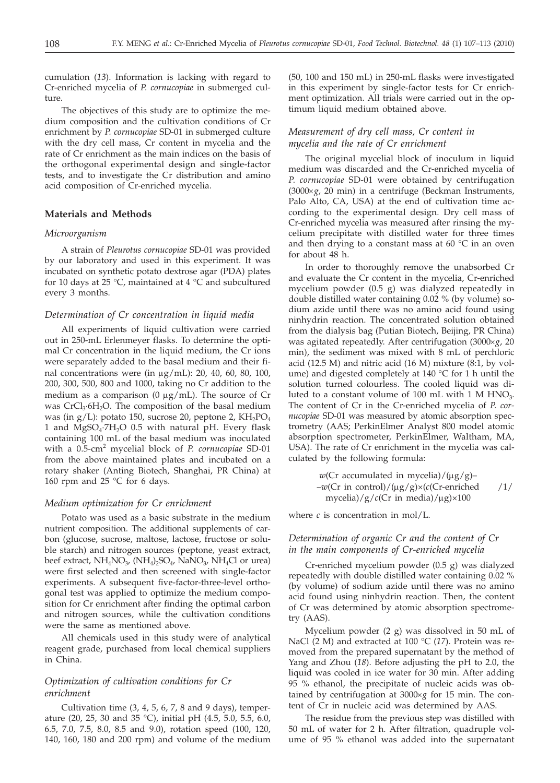cumulation (*13*). Information is lacking with regard to Cr-enriched mycelia of *P. cornucopiae* in submerged culture

The objectives of this study are to optimize the medium composition and the cultivation conditions of Cr enrichment by *P. cornucopiae* SD-01 in submerged culture with the dry cell mass, Cr content in mycelia and the rate of Cr enrichment as the main indices on the basis of the orthogonal experimental design and single-factor tests, and to investigate the Cr distribution and amino acid composition of Cr-enriched mycelia.

## **Materials and Methods**

#### *Microorganism*

A strain of *Pleurotus cornucopiae* SD-01 was provided by our laboratory and used in this experiment. It was incubated on synthetic potato dextrose agar (PDA) plates for 10 days at 25 °C, maintained at 4 °C and subcultured every 3 months.

#### *Determination of Cr concentration in liquid media*

All experiments of liquid cultivation were carried out in 250-mL Erlenmeyer flasks. To determine the optimal Cr concentration in the liquid medium, the Cr ions were separately added to the basal medium and their final concentrations were (in  $\mu$ g/mL): 20, 40, 60, 80, 100, 200, 300, 500, 800 and 1000, taking no Cr addition to the medium as a comparison (0  $\mu$ g/mL). The source of Cr was  $CrCl<sub>3</sub>·6H<sub>2</sub>O$ . The composition of the basal medium was (in  $g/L$ ): potato 150, sucrose 20, peptone 2,  $KH_2PO_4$ 1 and  $MgSO<sub>4</sub>·7H<sub>2</sub>O$  0.5 with natural pH. Every flask containing 100 mL of the basal medium was inoculated with a 0.5-cm<sup>2</sup> mycelial block of *P. cornucopiae* SD-01 from the above maintained plates and incubated on a rotary shaker (Anting Biotech, Shanghai, PR China) at 160 rpm and 25 °C for 6 days.

## *Medium optimization for Cr enrichment*

Potato was used as a basic substrate in the medium nutrient composition. The additional supplements of carbon (glucose, sucrose, maltose, lactose, fructose or soluble starch) and nitrogen sources (peptone, yeast extract, beef extract,  $NH_4NO_{3}$ ,  $(NH_4)_2SO_4$ ,  $NaNO_{3}$ ,  $NH_4Cl$  or urea) were first selected and then screened with single-factor experiments. A subsequent five-factor-three-level orthogonal test was applied to optimize the medium composition for Cr enrichment after finding the optimal carbon and nitrogen sources, while the cultivation conditions were the same as mentioned above.

All chemicals used in this study were of analytical reagent grade, purchased from local chemical suppliers in China.

# *Optimization of cultivation conditions for Cr enrichment*

Cultivation time  $(3, 4, 5, 6, 7, 8$  and  $9$  days), temperature (20, 25, 30 and 35 °C), initial pH (4.5, 5.0, 5.5, 6.0, 6.5, 7.0, 7.5, 8.0, 8.5 and 9.0), rotation speed (100, 120, 140, 160, 180 and 200 rpm) and volume of the medium

(50, 100 and 150 mL) in 250-mL flasks were investigated in this experiment by single-factor tests for Cr enrichment optimization. All trials were carried out in the optimum liquid medium obtained above.

# *Measurement of dry cell mass, Cr content in mycelia and the rate of Cr enrichment*

The original mycelial block of inoculum in liquid medium was discarded and the Cr-enriched mycelia of *P*. *cornucopiae* SD-01 were obtained by centrifugation  $(3000 \times g, 20 \text{ min})$  in a centrifuge (Beckman Instruments, Palo Alto, CA, USA) at the end of cultivation time according to the experimental design. Dry cell mass of Cr-enriched mycelia was measured after rinsing the mycelium precipitate with distilled water for three times and then drying to a constant mass at 60  $^{\circ}$ C in an oven for about 48 h.

In order to thoroughly remove the unabsorbed Cr and evaluate the Cr content in the mycelia, Cr-enriched mycelium powder (0.5 g) was dialyzed repeatedly in double distilled water containing 0.02 % (by volume) sodium azide until there was no amino acid found using ninhydrin reaction. The concentrated solution obtained from the dialysis bag (Putian Biotech, Beijing, PR China) was agitated repeatedly. After centrifugation (3000´*g*, 20 min), the sediment was mixed with 8 mL of perchloric acid (12.5 M) and nitric acid (16 M) mixture (8:1, by volume) and digested completely at 140 °C for 1 h until the solution turned colourless. The cooled liquid was diluted to a constant volume of 100 mL with 1 M  $HNO<sub>3</sub>$ . The content of Cr in the Cr-enriched mycelia of *P*. *cornucopiae* SD-01 was measured by atomic absorption spectrometry (AAS; PerkinElmer Analyst 800 model atomic absorption spectrometer, PerkinElmer, Waltham, MA, USA). The rate of Cr enrichment in the mycelia was calculated by the following formula:

*<sup>w</sup>*(Cr accumulated in mycelia)/(mg/g)– –*w*(Cr in control)/(mg/g)×(*c*(Cr-enriched /1/ mycelia)/g/*c*(Cr in media)/mg)×100

where  $c$  is concentration in mol/L.

# *Determination of organic Cr and the content of Cr in the main components of Cr-enriched mycelia*

Cr-enriched mycelium powder (0.5 g) was dialyzed repeatedly with double distilled water containing 0.02 % (by volume) of sodium azide until there was no amino acid found using ninhydrin reaction. Then, the content of Cr was determined by atomic absorption spectrometry (AAS).

Mycelium powder (2 g) was dissolved in 50 mL of NaCl (2 M) and extracted at 100 °C (*17*). Protein was removed from the prepared supernatant by the method of Yang and Zhou (*18*). Before adjusting the pH to 2.0, the liquid was cooled in ice water for 30 min. After adding 95 % ethanol, the precipitate of nucleic acids was obtained by centrifugation at  $3000 \times g$  for 15 min. The content of Cr in nucleic acid was determined by AAS.

The residue from the previous step was distilled with 50 mL of water for 2 h. After filtration, quadruple volume of 95 % ethanol was added into the supernatant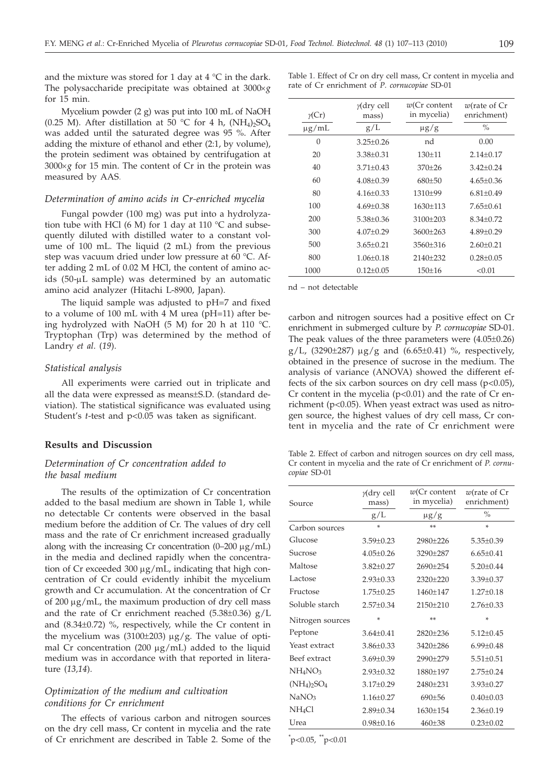and the mixture was stored for 1 day at 4  $\degree$ C in the dark. The polysaccharide precipitate was obtained at  $3000 \times g$ for 15 min.

Mycelium powder (2 g) was put into 100 mL of NaOH (0.25 M). After distillation at 50 °C for 4 h,  $(NH_4)_2SO_4$ was added until the saturated degree was 95 %. After adding the mixture of ethanol and ether (2:1, by volume), the protein sediment was obtained by centrifugation at  $3000 \times g$  for 15 min. The content of Cr in the protein was measured by AAS.

## *Determination of amino acids in Cr-enriched mycelia*

Fungal powder (100 mg) was put into a hydrolyzation tube with HCl (6 M) for 1 day at 110  $\degree$ C and subsequently diluted with distilled water to a constant volume of 100 mL. The liquid (2 mL) from the previous step was vacuum dried under low pressure at 60 °C. After adding 2 mL of 0.02 M HCl, the content of amino acids  $(50-\mu L \text{ sample})$  was determined by an automatic amino acid analyzer (Hitachi L-8900, Japan).

The liquid sample was adjusted to pH=7 and fixed to a volume of 100 mL with 4 M urea (pH=11) after being hydrolyzed with NaOH (5 M) for 20 h at 110 °C. Tryptophan (Trp) was determined by the method of Landry *et al*. (*19*).

#### *Statistical analysis*

All experiments were carried out in triplicate and all the data were expressed as means±S.D. (standard deviation). The statistical significance was evaluated using Student's *t*-test and p<0.05 was taken as significant.

## **Results and Discussion**

## *Determination of Cr concentration added to the basal medium*

The results of the optimization of Cr concentration added to the basal medium are shown in Table 1, while no detectable Cr contents were observed in the basal medium before the addition of Cr. The values of dry cell mass and the rate of Cr enrichment increased gradually along with the increasing Cr concentration (0-200  $\mu$ g/mL) in the media and declined rapidly when the concentration of Cr exceeded  $300 \mu g/mL$ , indicating that high concentration of Cr could evidently inhibit the mycelium growth and Cr accumulation. At the concentration of Cr of 200  $\mu$ g/mL, the maximum production of dry cell mass and the rate of Cr enrichment reached  $(5.38\pm0.36)$  g/L and (8.34±0.72) %, respectively, while the Cr content in the mycelium was (3100 $\pm$ 203)  $\mu$ g/g. The value of optimal Cr concentration (200  $\mu$ g/mL) added to the liquid medium was in accordance with that reported in literature (*13,14*).

## *Optimization of the medium and cultivation conditions for Cr enrichment*

The effects of various carbon and nitrogen sources on the dry cell mass, Cr content in mycelia and the rate of Cr enrichment are described in Table 2. Some of the

| $\gamma$ (Cr) | $\gamma$ (dry cell<br>mass) | $w(Cr \text{ content})$<br>in mycelia) | $w$ (rate of $Cr$<br>enrichment) |
|---------------|-----------------------------|----------------------------------------|----------------------------------|
| $\mu$ g/mL    | g/L                         | $\mu$ g/g                              | $\frac{0}{0}$                    |
| $\Omega$      | $3.25 + 0.26$               | nd                                     | 0.00                             |
| 20            | $3.38 + 0.31$               | $130+11$                               | $2.14 + 0.17$                    |
| 40            | $3.71 + 0.43$               | $370+26$                               | $3.42 + 0.24$                    |
| 60            | $4.08 + 0.39$               | $680+50$                               | $4.65+0.36$                      |
| 80            | $4.16 + 0.33$               | 1310±99                                | $6.81 + 0.49$                    |
| 100           | $4.69 + 0.38$               | $1630+113$                             | $7.65 + 0.61$                    |
| 200           | $5.38 + 0.36$               | $3100+203$                             | $8.34 + 0.72$                    |
| 300           | $4.07+0.29$                 | $3600+263$                             | $4.89 + 0.29$                    |
| 500           | $3.65 + 0.21$               | $3560 + 316$                           | $2.60+0.21$                      |
| 800           | $1.06 \pm 0.18$             | 2140±232                               | $0.28 \pm 0.05$                  |
| 1000          | $0.12 \pm 0.05$             | $150 \pm 16$                           | < 0.01                           |
|               |                             |                                        |                                  |

Table 1. Effect of Cr on dry cell mass, Cr content in mycelia and

rate of Cr enrichment of *P*. *cornucopiae* SD-01

nd – not detectable

carbon and nitrogen sources had a positive effect on Cr enrichment in submerged culture by *P. cornucopiae* SD-01. The peak values of the three parameters were (4.05±0.26)  $g/L$ , (3290 $\pm$ 287)  $\mu$ g/g and (6.65 $\pm$ 0.41) %, respectively, obtained in the presence of sucrose in the medium. The analysis of variance (ANOVA) showed the different effects of the six carbon sources on dry cell mass  $(p<0.05)$ , Cr content in the mycelia  $(p<0.01)$  and the rate of Cr enrichment (p<0.05). When yeast extract was used as nitrogen source, the highest values of dry cell mass, Cr content in mycelia and the rate of Cr enrichment were

Table 2. Effect of carbon and nitrogen sources on dry cell mass, Cr content in mycelia and the rate of Cr enrichment of *P*. *cornucopiae* SD-01

| Source                          | $y$ (dry cell<br>mass) | $w(Cr$ content<br>in mycelia) | $w$ (rate of $Cr$<br>enrichment) |  |
|---------------------------------|------------------------|-------------------------------|----------------------------------|--|
|                                 | g/L                    | $\mu$ g/g                     | $\frac{0}{0}$                    |  |
| Carbon sources                  | ×                      | **                            | ×                                |  |
| Glucose                         | $3.59 \pm 0.23$        | 2980±226                      | $5.35 \pm 0.39$                  |  |
| Sucrose                         | $4.05 + 0.26$          | 3290+287                      | $6.65 + 0.41$                    |  |
| Maltose                         | $3.82 \pm 0.27$        | $2690+254$                    | $5.20+0.44$                      |  |
| Lactose                         | $2.93 + 0.33$          | $2320+220$                    | $3.39 \pm 0.37$                  |  |
| Fructose                        | $1.75 + 0.25$          | $1460 + 147$                  | $1.27 + 0.18$                    |  |
| Soluble starch                  | $2.57 \pm 0.34$        | 2150±210                      | $2.76 \pm 0.33$                  |  |
| Nitrogen sources                | ×                      | **                            | ×                                |  |
| Peptone                         | $3.64 + 0.41$          | $2820+236$                    | $5.12 + 0.45$                    |  |
| Yeast extract                   | $3.86 + 0.33$          | $3420 + 286$                  | $6.99 + 0.48$                    |  |
| Beef extract                    | $3.69 + 0.39$          | 2990+279                      | $5.51 + 0.51$                    |  |
| NH <sub>4</sub> NO <sub>3</sub> | $2.93 \pm 0.32$        | 1880±197                      | $2.75 \pm 0.24$                  |  |
| $(NH_4)_2SO_4$                  | $3.17 + 0.29$          | 2480±231                      | $3.93 \pm 0.27$                  |  |
| NaNO <sub>3</sub>               | $1.16 + 0.27$          | $690 + 56$                    | $0.40 \pm 0.03$                  |  |
| NH <sub>4</sub> Cl              | $2.89 + 0.34$          | 1630±154                      | $2.36 \pm 0.19$                  |  |
| Urea                            | $0.98 \pm 0.16$        | $460 \pm 38$                  | $0.23 \pm 0.02$                  |  |

 $\rm \check{p}$  < 0.05,  $\rm \check{p}$  < 0.01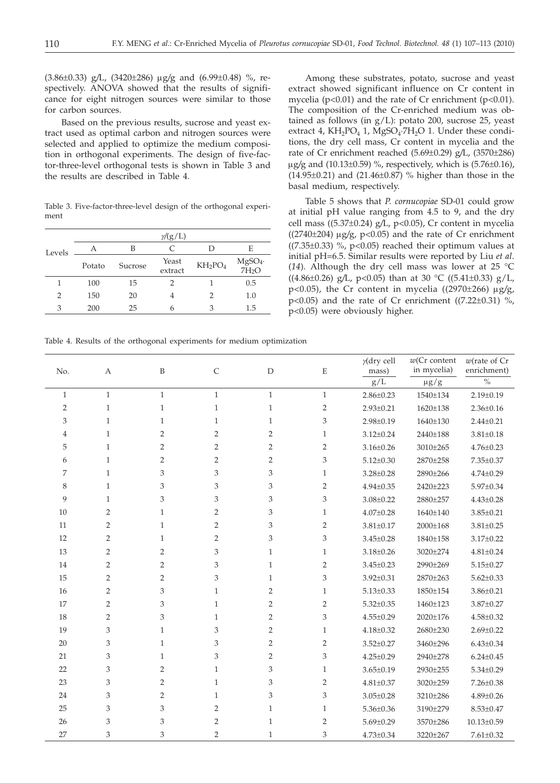(3.86±0.33) g*/*L, (3420±286) mg*/*g and (6.99±0.48) %, respectively. ANOVA showed that the results of significance for eight nitrogen sources were similar to those for carbon sources.

Based on the previous results, sucrose and yeast extract used as optimal carbon and nitrogen sources were selected and applied to optimize the medium composition in orthogonal experiments. The design of five-factor-three-level orthogonal tests is shown in Table 3 and the results are described in Table 4.

Table 3. Five-factor-three-level design of the orthogonal experiment

|        | $\gamma$ /(g/L)   |    |                  |                                 |                    |  |  |  |  |
|--------|-------------------|----|------------------|---------------------------------|--------------------|--|--|--|--|
| Levels | А                 | В  | C                |                                 | E                  |  |  |  |  |
|        | Sucrose<br>Potato |    | Yeast<br>extract | KH <sub>2</sub> PO <sub>4</sub> | $MgSO4·$<br>$7H2O$ |  |  |  |  |
|        | 100               | 15 | 2                |                                 | 0.5                |  |  |  |  |
| 2      | 150               | 20 | 4                |                                 | 1.0                |  |  |  |  |
| 3      | 200               | 25 | 6                |                                 | 1.5                |  |  |  |  |

Among these substrates, potato, sucrose and yeast extract showed significant influence on Cr content in mycelia (p<0.01) and the rate of Cr enrichment (p<0.01). The composition of the Cr-enriched medium was obtained as follows (in  $g/L$ ): potato 200, sucrose 25, yeast extract 4,  $KH_2PO_4$  1,  $MgSO_4$ : $7H_2O$  1. Under these conditions, the dry cell mass, Cr content in mycelia and the rate of Cr enrichment reached (5.69±0.29) g*/*L, (3570±286) mg*/*g and (10.13±0.59) %, respectively, which is (5.76±0.16), (14.95±0.21) and (21.46±0.87) % higher than those in the basal medium, respectively.

Table 5 shows that *P*. *cornucopiae* SD-01 could grow at initial pH value ranging from 4.5 to 9, and the dry cell mass ((5.37±0.24) g*/*L, p<0.05), Cr content in mycelia ((2740±204) mg*/*g, p<0.05) and the rate of Cr enrichment  $((7.35\pm0.33)$  %, p<0.05) reached their optimum values at initial pH=6.5. Similar results were reported by Liu *et al*. (*14*). Although the dry cell mass was lower at 25 °C ((4.86±0.26) g*/*L, p<0.05) than at 30 °C ((5.41±0.33) g/L, p<0.05), the Cr content in mycelia ((2970±266) mg*/*g, p<0.05) and the rate of Cr enrichment ( $(7.22\pm0.31)$  %, p<0.05) were obviously higher.

Table 4. Results of the orthogonal experiments for medium optimization

| $\sqrt[0]{\!0}$<br>g/L<br>$\mu g/g$<br>$\mathbf{1}$<br>$\mathbf{1}$<br>$\mathbf{1}$<br>$\mathbf{1}$<br>$\mathbf{1}$<br>$\mathbf{1}$<br>$2.86 \pm 0.23$<br>1540±134<br>$2.19 \pm 0.19$<br>$\overline{2}$<br>$\mathbf{1}$<br>$\mathbf{1}$<br>$\mathbf{1}$<br>$\sqrt{2}$<br>$\mathbf{1}$<br>$2.93 \pm 0.21$<br>1620±138<br>$2.36 \pm 0.16$<br>3<br>$\mathbf{1}$<br>$\mathbf{1}$<br>$\mathbf{1}$<br>3<br>$2.98 \pm 0.19$<br>1640±130<br>$2.44 \pm 0.21$<br>$\mathbf{1}$<br>$\overline{2}$<br>$\overline{2}$<br>$\mathbf{1}$<br>2<br>$\mathbf{1}$<br>$3.81 \pm 0.18$<br>4<br>$3.12 \pm 0.24$<br>2440±188<br>5<br>$\mathbf{1}$<br>2<br>2<br>2<br>$3.16 \pm 0.26$<br>3010±265<br>$4.76 \pm 0.23$<br>$\overline{2}$<br>$\overline{2}$<br>$\overline{2}$<br>3<br>6<br>$\mathbf{1}$<br>$\overline{2}$<br>$5.12 \pm 0.30$<br>2870±258<br>7.35±0.37<br>3<br>3<br>7<br>$\mathbf{1}$<br>3<br>$\mathbf{1}$<br>$3.28 \pm 0.28$<br>2890±266<br>$4.74 \pm 0.29$<br>3<br>8<br>$\mathbf{1}$<br>3<br>3<br>$\overline{2}$<br>$4.94 \pm 0.35$<br>2420±223<br>5.97±0.34<br>9<br>3<br>3<br>3<br>$\mathbf{1}$<br>3<br>$3.08 \pm 0.22$<br>2880±257<br>$4.43 \pm 0.28$<br>$\overline{2}$<br>$\overline{2}$<br>$\ensuremath{\mathsf{3}}$<br>$\mathbf{1}$<br>10<br>$\mathbf{1}$<br>$4.07 \pm 0.28$<br>$3.85 \pm 0.21$<br>1640±140<br>$\overline{2}$<br>$\overline{2}$<br>3<br>11<br>$\mathbf{1}$<br>$\overline{2}$<br>$3.81 \pm 0.17$<br>2000±168<br>$3.81 \pm 0.25$<br>$\overline{2}$<br>$\overline{2}$<br>$\ensuremath{\mathsf{3}}$<br>12<br>3<br>$\mathbf{1}$<br>$3.45 \pm 0.28$<br>$3.17 \pm 0.22$<br>1840±158<br>$\overline{c}$<br>13<br>3<br>$3.18 \pm 0.26$<br>3020±274<br>$4.81 \pm 0.24$<br>2<br>$\mathbf{1}$<br>1<br>$\overline{c}$<br>3<br>14<br>$\overline{2}$<br>$\mathbf{1}$<br>$\overline{2}$<br>$3.45 \pm 0.23$<br>2990±269<br>$5.15 \pm 0.27$<br>15<br>2<br>3<br>2<br>$\mathbf{1}$<br>3<br>$3.92 \pm 0.31$<br>2870±263<br>$5.62 \pm 0.33$<br>$\overline{c}$<br>$\overline{c}$<br>16<br>3<br>$\mathbf{1}$<br>$3.86 \pm 0.21$<br>1<br>$5.13 \pm 0.33$<br>1850±154<br>17<br>$\overline{2}$<br>$\overline{c}$<br>3<br>$\mathbf{1}$<br>2<br>$5.32 \pm 0.35$<br>1460±123<br>$3.87 \pm 0.27$<br>$\overline{2}$<br>$\overline{2}$<br>18<br>3<br>3<br>$\mathbf{1}$<br>$4.55 \pm 0.29$<br>2020±176<br>$4.58 \pm 0.32$<br>19<br>3<br>$\mathbf{1}$<br>3<br>$\overline{2}$<br>$\mathbf{1}$<br>$4.18 \pm 0.32$<br>2680±230<br>$2.69 \pm 0.22$<br>$\ensuremath{\mathsf{3}}$<br>3<br>$\overline{2}$<br>20<br>$\mathbf{1}$<br>2<br>$3.52 \pm 0.27$<br>3460±296<br>$6.43 \pm 0.34$<br>3<br>3<br>$\mathbf{2}$<br>21<br>$\mathbf{1}$<br>3<br>$4.25 \pm 0.29$<br>2940±278<br>$6.24 \pm 0.45$<br>3<br>$\ensuremath{\mathsf{3}}$<br>22<br>$\overline{2}$<br>$\mathbf{1}$<br>$5.34 \pm 0.29$<br>$\mathbf{1}$<br>$3.65 \pm 0.19$<br>2930±255<br>3<br>3<br>23<br>$\overline{2}$<br>$\mathbf{1}$<br>$\overline{2}$<br>$4.81 \pm 0.37$<br>3020±259<br>$7.26 \pm 0.38$<br>3<br>3<br>$\mathbf{1}$<br>3<br>24<br>2<br>$3.05 \pm 0.28$<br>3210±286<br>$4.89 \pm 0.26$<br>25<br>3<br>$\overline{2}$<br>3<br>$\mathbf{1}$<br>$\mathbf{1}$<br>$8.53 \pm 0.47$<br>$5.36 \pm 0.36$<br>3190±279<br>3<br>$\overline{2}$<br>26<br>3<br>$\mathbf{1}$<br>2<br>$5.69 \pm 0.29$<br>$10.13 \pm 0.59$<br>3570±286<br>27<br>3<br>$\overline{2}$<br>3<br>3<br>$\mathbf{1}$<br>$4.73 \pm 0.34$<br>3220±267<br>$7.61 \pm 0.32$ | No. | $\boldsymbol{A}$ | B | $\mathsf C$ | $\mathbf D$ | $\mathbf E$ | $y$ (dry cell<br>mass) | $w(Cr$ content<br>in mycelia) | $w$ (rate of Cr<br>enrichment) |
|-----------------------------------------------------------------------------------------------------------------------------------------------------------------------------------------------------------------------------------------------------------------------------------------------------------------------------------------------------------------------------------------------------------------------------------------------------------------------------------------------------------------------------------------------------------------------------------------------------------------------------------------------------------------------------------------------------------------------------------------------------------------------------------------------------------------------------------------------------------------------------------------------------------------------------------------------------------------------------------------------------------------------------------------------------------------------------------------------------------------------------------------------------------------------------------------------------------------------------------------------------------------------------------------------------------------------------------------------------------------------------------------------------------------------------------------------------------------------------------------------------------------------------------------------------------------------------------------------------------------------------------------------------------------------------------------------------------------------------------------------------------------------------------------------------------------------------------------------------------------------------------------------------------------------------------------------------------------------------------------------------------------------------------------------------------------------------------------------------------------------------------------------------------------------------------------------------------------------------------------------------------------------------------------------------------------------------------------------------------------------------------------------------------------------------------------------------------------------------------------------------------------------------------------------------------------------------------------------------------------------------------------------------------------------------------------------------------------------------------------------------------------------------------------------------------------------------------------------------------------------------------------------------------------------------------------------------------------------------------------------------------------------------------------------------------------------------------------------------------------------------------------------------------------------------------------------------------------------------------------------------------------------------------------------------------------------------------------------------------------|-----|------------------|---|-------------|-------------|-------------|------------------------|-------------------------------|--------------------------------|
|                                                                                                                                                                                                                                                                                                                                                                                                                                                                                                                                                                                                                                                                                                                                                                                                                                                                                                                                                                                                                                                                                                                                                                                                                                                                                                                                                                                                                                                                                                                                                                                                                                                                                                                                                                                                                                                                                                                                                                                                                                                                                                                                                                                                                                                                                                                                                                                                                                                                                                                                                                                                                                                                                                                                                                                                                                                                                                                                                                                                                                                                                                                                                                                                                                                                                                                                                                 |     |                  |   |             |             |             |                        |                               |                                |
|                                                                                                                                                                                                                                                                                                                                                                                                                                                                                                                                                                                                                                                                                                                                                                                                                                                                                                                                                                                                                                                                                                                                                                                                                                                                                                                                                                                                                                                                                                                                                                                                                                                                                                                                                                                                                                                                                                                                                                                                                                                                                                                                                                                                                                                                                                                                                                                                                                                                                                                                                                                                                                                                                                                                                                                                                                                                                                                                                                                                                                                                                                                                                                                                                                                                                                                                                                 |     |                  |   |             |             |             |                        |                               |                                |
|                                                                                                                                                                                                                                                                                                                                                                                                                                                                                                                                                                                                                                                                                                                                                                                                                                                                                                                                                                                                                                                                                                                                                                                                                                                                                                                                                                                                                                                                                                                                                                                                                                                                                                                                                                                                                                                                                                                                                                                                                                                                                                                                                                                                                                                                                                                                                                                                                                                                                                                                                                                                                                                                                                                                                                                                                                                                                                                                                                                                                                                                                                                                                                                                                                                                                                                                                                 |     |                  |   |             |             |             |                        |                               |                                |
|                                                                                                                                                                                                                                                                                                                                                                                                                                                                                                                                                                                                                                                                                                                                                                                                                                                                                                                                                                                                                                                                                                                                                                                                                                                                                                                                                                                                                                                                                                                                                                                                                                                                                                                                                                                                                                                                                                                                                                                                                                                                                                                                                                                                                                                                                                                                                                                                                                                                                                                                                                                                                                                                                                                                                                                                                                                                                                                                                                                                                                                                                                                                                                                                                                                                                                                                                                 |     |                  |   |             |             |             |                        |                               |                                |
|                                                                                                                                                                                                                                                                                                                                                                                                                                                                                                                                                                                                                                                                                                                                                                                                                                                                                                                                                                                                                                                                                                                                                                                                                                                                                                                                                                                                                                                                                                                                                                                                                                                                                                                                                                                                                                                                                                                                                                                                                                                                                                                                                                                                                                                                                                                                                                                                                                                                                                                                                                                                                                                                                                                                                                                                                                                                                                                                                                                                                                                                                                                                                                                                                                                                                                                                                                 |     |                  |   |             |             |             |                        |                               |                                |
|                                                                                                                                                                                                                                                                                                                                                                                                                                                                                                                                                                                                                                                                                                                                                                                                                                                                                                                                                                                                                                                                                                                                                                                                                                                                                                                                                                                                                                                                                                                                                                                                                                                                                                                                                                                                                                                                                                                                                                                                                                                                                                                                                                                                                                                                                                                                                                                                                                                                                                                                                                                                                                                                                                                                                                                                                                                                                                                                                                                                                                                                                                                                                                                                                                                                                                                                                                 |     |                  |   |             |             |             |                        |                               |                                |
|                                                                                                                                                                                                                                                                                                                                                                                                                                                                                                                                                                                                                                                                                                                                                                                                                                                                                                                                                                                                                                                                                                                                                                                                                                                                                                                                                                                                                                                                                                                                                                                                                                                                                                                                                                                                                                                                                                                                                                                                                                                                                                                                                                                                                                                                                                                                                                                                                                                                                                                                                                                                                                                                                                                                                                                                                                                                                                                                                                                                                                                                                                                                                                                                                                                                                                                                                                 |     |                  |   |             |             |             |                        |                               |                                |
|                                                                                                                                                                                                                                                                                                                                                                                                                                                                                                                                                                                                                                                                                                                                                                                                                                                                                                                                                                                                                                                                                                                                                                                                                                                                                                                                                                                                                                                                                                                                                                                                                                                                                                                                                                                                                                                                                                                                                                                                                                                                                                                                                                                                                                                                                                                                                                                                                                                                                                                                                                                                                                                                                                                                                                                                                                                                                                                                                                                                                                                                                                                                                                                                                                                                                                                                                                 |     |                  |   |             |             |             |                        |                               |                                |
|                                                                                                                                                                                                                                                                                                                                                                                                                                                                                                                                                                                                                                                                                                                                                                                                                                                                                                                                                                                                                                                                                                                                                                                                                                                                                                                                                                                                                                                                                                                                                                                                                                                                                                                                                                                                                                                                                                                                                                                                                                                                                                                                                                                                                                                                                                                                                                                                                                                                                                                                                                                                                                                                                                                                                                                                                                                                                                                                                                                                                                                                                                                                                                                                                                                                                                                                                                 |     |                  |   |             |             |             |                        |                               |                                |
|                                                                                                                                                                                                                                                                                                                                                                                                                                                                                                                                                                                                                                                                                                                                                                                                                                                                                                                                                                                                                                                                                                                                                                                                                                                                                                                                                                                                                                                                                                                                                                                                                                                                                                                                                                                                                                                                                                                                                                                                                                                                                                                                                                                                                                                                                                                                                                                                                                                                                                                                                                                                                                                                                                                                                                                                                                                                                                                                                                                                                                                                                                                                                                                                                                                                                                                                                                 |     |                  |   |             |             |             |                        |                               |                                |
|                                                                                                                                                                                                                                                                                                                                                                                                                                                                                                                                                                                                                                                                                                                                                                                                                                                                                                                                                                                                                                                                                                                                                                                                                                                                                                                                                                                                                                                                                                                                                                                                                                                                                                                                                                                                                                                                                                                                                                                                                                                                                                                                                                                                                                                                                                                                                                                                                                                                                                                                                                                                                                                                                                                                                                                                                                                                                                                                                                                                                                                                                                                                                                                                                                                                                                                                                                 |     |                  |   |             |             |             |                        |                               |                                |
|                                                                                                                                                                                                                                                                                                                                                                                                                                                                                                                                                                                                                                                                                                                                                                                                                                                                                                                                                                                                                                                                                                                                                                                                                                                                                                                                                                                                                                                                                                                                                                                                                                                                                                                                                                                                                                                                                                                                                                                                                                                                                                                                                                                                                                                                                                                                                                                                                                                                                                                                                                                                                                                                                                                                                                                                                                                                                                                                                                                                                                                                                                                                                                                                                                                                                                                                                                 |     |                  |   |             |             |             |                        |                               |                                |
|                                                                                                                                                                                                                                                                                                                                                                                                                                                                                                                                                                                                                                                                                                                                                                                                                                                                                                                                                                                                                                                                                                                                                                                                                                                                                                                                                                                                                                                                                                                                                                                                                                                                                                                                                                                                                                                                                                                                                                                                                                                                                                                                                                                                                                                                                                                                                                                                                                                                                                                                                                                                                                                                                                                                                                                                                                                                                                                                                                                                                                                                                                                                                                                                                                                                                                                                                                 |     |                  |   |             |             |             |                        |                               |                                |
|                                                                                                                                                                                                                                                                                                                                                                                                                                                                                                                                                                                                                                                                                                                                                                                                                                                                                                                                                                                                                                                                                                                                                                                                                                                                                                                                                                                                                                                                                                                                                                                                                                                                                                                                                                                                                                                                                                                                                                                                                                                                                                                                                                                                                                                                                                                                                                                                                                                                                                                                                                                                                                                                                                                                                                                                                                                                                                                                                                                                                                                                                                                                                                                                                                                                                                                                                                 |     |                  |   |             |             |             |                        |                               |                                |
|                                                                                                                                                                                                                                                                                                                                                                                                                                                                                                                                                                                                                                                                                                                                                                                                                                                                                                                                                                                                                                                                                                                                                                                                                                                                                                                                                                                                                                                                                                                                                                                                                                                                                                                                                                                                                                                                                                                                                                                                                                                                                                                                                                                                                                                                                                                                                                                                                                                                                                                                                                                                                                                                                                                                                                                                                                                                                                                                                                                                                                                                                                                                                                                                                                                                                                                                                                 |     |                  |   |             |             |             |                        |                               |                                |
|                                                                                                                                                                                                                                                                                                                                                                                                                                                                                                                                                                                                                                                                                                                                                                                                                                                                                                                                                                                                                                                                                                                                                                                                                                                                                                                                                                                                                                                                                                                                                                                                                                                                                                                                                                                                                                                                                                                                                                                                                                                                                                                                                                                                                                                                                                                                                                                                                                                                                                                                                                                                                                                                                                                                                                                                                                                                                                                                                                                                                                                                                                                                                                                                                                                                                                                                                                 |     |                  |   |             |             |             |                        |                               |                                |
|                                                                                                                                                                                                                                                                                                                                                                                                                                                                                                                                                                                                                                                                                                                                                                                                                                                                                                                                                                                                                                                                                                                                                                                                                                                                                                                                                                                                                                                                                                                                                                                                                                                                                                                                                                                                                                                                                                                                                                                                                                                                                                                                                                                                                                                                                                                                                                                                                                                                                                                                                                                                                                                                                                                                                                                                                                                                                                                                                                                                                                                                                                                                                                                                                                                                                                                                                                 |     |                  |   |             |             |             |                        |                               |                                |
|                                                                                                                                                                                                                                                                                                                                                                                                                                                                                                                                                                                                                                                                                                                                                                                                                                                                                                                                                                                                                                                                                                                                                                                                                                                                                                                                                                                                                                                                                                                                                                                                                                                                                                                                                                                                                                                                                                                                                                                                                                                                                                                                                                                                                                                                                                                                                                                                                                                                                                                                                                                                                                                                                                                                                                                                                                                                                                                                                                                                                                                                                                                                                                                                                                                                                                                                                                 |     |                  |   |             |             |             |                        |                               |                                |
|                                                                                                                                                                                                                                                                                                                                                                                                                                                                                                                                                                                                                                                                                                                                                                                                                                                                                                                                                                                                                                                                                                                                                                                                                                                                                                                                                                                                                                                                                                                                                                                                                                                                                                                                                                                                                                                                                                                                                                                                                                                                                                                                                                                                                                                                                                                                                                                                                                                                                                                                                                                                                                                                                                                                                                                                                                                                                                                                                                                                                                                                                                                                                                                                                                                                                                                                                                 |     |                  |   |             |             |             |                        |                               |                                |
|                                                                                                                                                                                                                                                                                                                                                                                                                                                                                                                                                                                                                                                                                                                                                                                                                                                                                                                                                                                                                                                                                                                                                                                                                                                                                                                                                                                                                                                                                                                                                                                                                                                                                                                                                                                                                                                                                                                                                                                                                                                                                                                                                                                                                                                                                                                                                                                                                                                                                                                                                                                                                                                                                                                                                                                                                                                                                                                                                                                                                                                                                                                                                                                                                                                                                                                                                                 |     |                  |   |             |             |             |                        |                               |                                |
|                                                                                                                                                                                                                                                                                                                                                                                                                                                                                                                                                                                                                                                                                                                                                                                                                                                                                                                                                                                                                                                                                                                                                                                                                                                                                                                                                                                                                                                                                                                                                                                                                                                                                                                                                                                                                                                                                                                                                                                                                                                                                                                                                                                                                                                                                                                                                                                                                                                                                                                                                                                                                                                                                                                                                                                                                                                                                                                                                                                                                                                                                                                                                                                                                                                                                                                                                                 |     |                  |   |             |             |             |                        |                               |                                |
|                                                                                                                                                                                                                                                                                                                                                                                                                                                                                                                                                                                                                                                                                                                                                                                                                                                                                                                                                                                                                                                                                                                                                                                                                                                                                                                                                                                                                                                                                                                                                                                                                                                                                                                                                                                                                                                                                                                                                                                                                                                                                                                                                                                                                                                                                                                                                                                                                                                                                                                                                                                                                                                                                                                                                                                                                                                                                                                                                                                                                                                                                                                                                                                                                                                                                                                                                                 |     |                  |   |             |             |             |                        |                               |                                |
|                                                                                                                                                                                                                                                                                                                                                                                                                                                                                                                                                                                                                                                                                                                                                                                                                                                                                                                                                                                                                                                                                                                                                                                                                                                                                                                                                                                                                                                                                                                                                                                                                                                                                                                                                                                                                                                                                                                                                                                                                                                                                                                                                                                                                                                                                                                                                                                                                                                                                                                                                                                                                                                                                                                                                                                                                                                                                                                                                                                                                                                                                                                                                                                                                                                                                                                                                                 |     |                  |   |             |             |             |                        |                               |                                |
|                                                                                                                                                                                                                                                                                                                                                                                                                                                                                                                                                                                                                                                                                                                                                                                                                                                                                                                                                                                                                                                                                                                                                                                                                                                                                                                                                                                                                                                                                                                                                                                                                                                                                                                                                                                                                                                                                                                                                                                                                                                                                                                                                                                                                                                                                                                                                                                                                                                                                                                                                                                                                                                                                                                                                                                                                                                                                                                                                                                                                                                                                                                                                                                                                                                                                                                                                                 |     |                  |   |             |             |             |                        |                               |                                |
|                                                                                                                                                                                                                                                                                                                                                                                                                                                                                                                                                                                                                                                                                                                                                                                                                                                                                                                                                                                                                                                                                                                                                                                                                                                                                                                                                                                                                                                                                                                                                                                                                                                                                                                                                                                                                                                                                                                                                                                                                                                                                                                                                                                                                                                                                                                                                                                                                                                                                                                                                                                                                                                                                                                                                                                                                                                                                                                                                                                                                                                                                                                                                                                                                                                                                                                                                                 |     |                  |   |             |             |             |                        |                               |                                |
|                                                                                                                                                                                                                                                                                                                                                                                                                                                                                                                                                                                                                                                                                                                                                                                                                                                                                                                                                                                                                                                                                                                                                                                                                                                                                                                                                                                                                                                                                                                                                                                                                                                                                                                                                                                                                                                                                                                                                                                                                                                                                                                                                                                                                                                                                                                                                                                                                                                                                                                                                                                                                                                                                                                                                                                                                                                                                                                                                                                                                                                                                                                                                                                                                                                                                                                                                                 |     |                  |   |             |             |             |                        |                               |                                |
|                                                                                                                                                                                                                                                                                                                                                                                                                                                                                                                                                                                                                                                                                                                                                                                                                                                                                                                                                                                                                                                                                                                                                                                                                                                                                                                                                                                                                                                                                                                                                                                                                                                                                                                                                                                                                                                                                                                                                                                                                                                                                                                                                                                                                                                                                                                                                                                                                                                                                                                                                                                                                                                                                                                                                                                                                                                                                                                                                                                                                                                                                                                                                                                                                                                                                                                                                                 |     |                  |   |             |             |             |                        |                               |                                |
|                                                                                                                                                                                                                                                                                                                                                                                                                                                                                                                                                                                                                                                                                                                                                                                                                                                                                                                                                                                                                                                                                                                                                                                                                                                                                                                                                                                                                                                                                                                                                                                                                                                                                                                                                                                                                                                                                                                                                                                                                                                                                                                                                                                                                                                                                                                                                                                                                                                                                                                                                                                                                                                                                                                                                                                                                                                                                                                                                                                                                                                                                                                                                                                                                                                                                                                                                                 |     |                  |   |             |             |             |                        |                               |                                |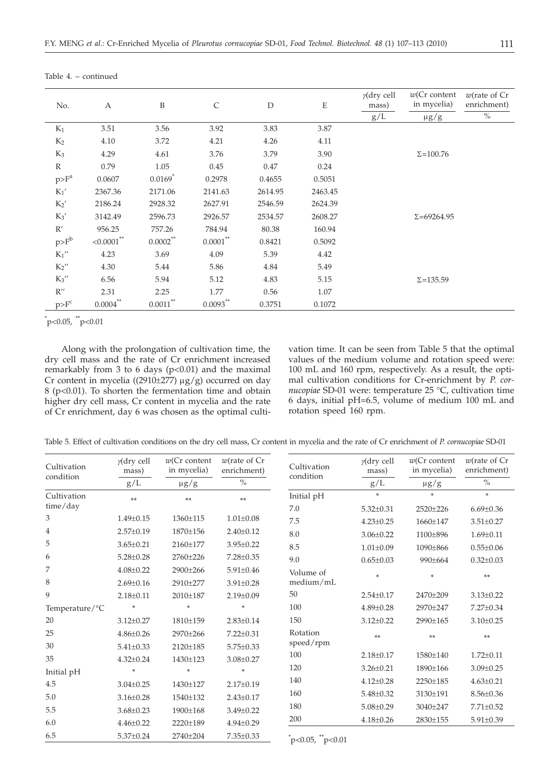| No.                | A             | B                     | $\mathsf{C}$   | D       | E       | $\gamma$ (dry cell<br>mass)<br>$\rm g/L$ | $w(Cr \text{ content})$<br>in mycelia)<br>$\mu g/g$ | $w$ (rate of $Cr$<br>enrichment)<br>$\%$ |
|--------------------|---------------|-----------------------|----------------|---------|---------|------------------------------------------|-----------------------------------------------------|------------------------------------------|
| $K_1$              | 3.51          | 3.56                  | 3.92           | 3.83    | 3.87    |                                          |                                                     |                                          |
| $K_2$              | 4.10          | 3.72                  | 4.21           | 4.26    | 4.11    |                                          |                                                     |                                          |
| $K_3$              | 4.29          | 4.61                  | 3.76           | 3.79    | 3.90    |                                          | $\Sigma = 100.76$                                   |                                          |
| $\mathbb{R}$       | 0.79          | 1.05                  | 0.45           | 0.47    | 0.24    |                                          |                                                     |                                          |
| $p>F^a$            | 0.0607        | $0.0169$ <sup>*</sup> | 0.2978         | 0.4655  | 0.5051  |                                          |                                                     |                                          |
| $K_1'$             | 2367.36       | 2171.06               | 2141.63        | 2614.95 | 2463.45 |                                          |                                                     |                                          |
| $K_2'$             | 2186.24       | 2928.32               | 2627.91        | 2546.59 | 2624.39 |                                          |                                                     |                                          |
| $K_3'$             | 3142.49       | 2596.73               | 2926.57        | 2534.57 | 2608.27 |                                          | $\Sigma = 69264.95$                                 |                                          |
| R'                 | 956.25        | 757.26                | 784.94         | 80.38   | 160.94  |                                          |                                                     |                                          |
| $p>F^b$            | $< 0.0001$ ** | $0.0002^{**}$         | $0.0001\sp{*}$ | 0.8421  | 0.5092  |                                          |                                                     |                                          |
| $K_1''$            | 4.23          | 3.69                  | 4.09           | 5.39    | 4.42    |                                          |                                                     |                                          |
| $K_2$ "            | 4.30          | 5.44                  | 5.86           | 4.84    | 5.49    |                                          |                                                     |                                          |
| $K_3''$            | 6.56          | 5.94                  | 5.12           | 4.83    | 5.15    |                                          | $\Sigma = 135.59$                                   |                                          |
| $R^{\prime\prime}$ | 2.31          | 2.25                  | 1.77           | 0.56    | 1.07    |                                          |                                                     |                                          |
| $p>F^c$            | $0.0004$ **   | $0.0011^{**}$         | $0.0093***$    | 0.3751  | 0.1072  |                                          |                                                     |                                          |

Table 4. – continued

 $p<0.05$ ,  $p<0.01$ 

Along with the prolongation of cultivation time, the dry cell mass and the rate of Cr enrichment increased remarkably from 3 to 6 days (p<0.01) and the maximal Cr content in mycelia ((2910 $\pm$ 277) µg/g) occurred on day 8 (p<0.01). To shorten the fermentation time and obtain higher dry cell mass, Cr content in mycelia and the rate of Cr enrichment, day 6 was chosen as the optimal cultivation time. It can be seen from Table 5 that the optimal values of the medium volume and rotation speed were: 100 mL and 160 rpm, respectively. As a result, the optimal cultivation conditions for Cr-enrichment by *P*. *cornucopiae* SD-01 were: temperature 25 °C, cultivation time 6 days, initial pH=6.5, volume of medium 100 mL and rotation speed 160 rpm.

Table 5. Effect of cultivation conditions on the dry cell mass, Cr content in mycelia and the rate of Cr enrichment of *P*. *cornucopiae* SD-01

| Cultivation<br>condition | $y$ (dry cell<br>mass) | $w(Cr$ content<br>in mycelia) | $w$ (rate of $Cr$<br>Cultivation<br>enrichment)<br>condition |                     | $y$ (dry cell<br>mass) | $w(Cr$ content<br>in mycelia) | $w$ (rate of $Cr$<br>enrichment) |
|--------------------------|------------------------|-------------------------------|--------------------------------------------------------------|---------------------|------------------------|-------------------------------|----------------------------------|
|                          | $\rm g/L$              | $\mu g/g$                     | $\frac{0}{0}$                                                |                     | g/L                    | $\mu g/g$                     | $\%$                             |
| Cultivation              | **                     | **                            | **                                                           | Initial pH          | ÷                      | ÷                             | $\star$                          |
| time/day                 |                        |                               |                                                              | 7.0                 | $5.32 \pm 0.31$        | 2520±226                      | $6.69 \pm 0.36$                  |
| 3                        | $1.49 \pm 0.15$        | 1360±115                      | $1.01 \pm 0.08$                                              | 7.5                 | $4.23 \pm 0.25$        | 1660±147                      | $3.51 \pm 0.27$                  |
| $\overline{4}$           | $2.57 \pm 0.19$        | 1870±156                      | $2.40 \pm 0.12$                                              | 8.0                 | $3.06 \pm 0.22$        | 1100±896                      | $1.69 \pm 0.11$                  |
| 5                        | $3.65 \pm 0.21$        | 2160±177                      | $3.95 \pm 0.22$                                              | 8.5                 | $1.01 \pm 0.09$        | 1090±866                      | $0.55 \pm 0.06$                  |
| 6                        | $5.28 \pm 0.28$        | 2760±226                      | $7.28 \pm 0.35$                                              | 9.0                 | $0.65 \pm 0.03$        | 990±664                       | $0.32 \pm 0.03$                  |
| 7                        | $4.08 \pm 0.22$        | 2900±266                      | $5.91 \pm 0.46$                                              | Volume of           | ×                      | $\mathcal{H}$                 | **                               |
| 8                        | $2.69 \pm 0.16$        | 2910±277                      | $3.91 \pm 0.28$                                              | medium/mL           |                        |                               |                                  |
| 9                        | $2.18 \pm 0.11$        | 2010±187                      | $2.19 \pm 0.09$                                              | 50                  | $2.54 \pm 0.17$        | 2470±209                      | $3.13 \pm 0.22$                  |
| Temperature/°C           |                        |                               | $\ast$                                                       | 100                 | $4.89 \pm 0.28$        | 2970±247                      | 7.27±0.34                        |
| 20                       | $3.12 \pm 0.27$        | 1810±159                      | $2.83 \pm 0.14$                                              | 150                 | $3.12 \pm 0.22$        | 2990±165                      | $3.10 \pm 0.25$                  |
| 25                       | $4.86 \pm 0.26$        | 2970±266                      | $7.22 \pm 0.31$                                              | Rotation            | **                     | **                            | **                               |
| 30                       | $5.41 \pm 0.33$        | 2120±185                      | $5.75 \pm 0.33$                                              | speed/rpm           |                        |                               |                                  |
| 35                       | $4.32 \pm 0.24$        | 1430±123                      | $3.08 \pm 0.27$                                              | 100                 | $2.18 \pm 0.17$        | 1580±140                      | $1.72 \pm 0.11$                  |
| Initial pH               | *                      | ÷                             | $\ast$                                                       | 120                 | $3.26 \pm 0.21$        | 1890±166                      | $3.09 \pm 0.25$                  |
| 4.5                      | $3.04 \pm 0.25$        | 1430±127                      | $2.17 \pm 0.19$                                              | 140                 | $4.12 \pm 0.28$        | 2250±185                      | $4.63 \pm 0.21$                  |
| 5.0                      | $3.16 \pm 0.28$        | 1540±132                      | $2.43 \pm 0.17$                                              | 160                 | $5.48 \pm 0.32$        | 3130±191                      | $8.56 \pm 0.36$                  |
| 5.5                      | $3.68 \pm 0.23$        | 1900±168                      | $3.49 \pm 0.22$                                              | 180                 | $5.08 \pm 0.29$        | 3040±247                      | $7.71 \pm 0.52$                  |
| 6.0                      | $4.46 \pm 0.22$        | 2220±189                      | $4.94 \pm 0.29$                                              | 200                 | $4.18 \pm 0.26$        | 2830±155                      | $5.91 \pm 0.39$                  |
| 6.5                      | $5.37 \pm 0.24$        | 2740±204                      | $7.35 \pm 0.33$                                              | $p<0.05$ , $p<0.01$ |                        |                               |                                  |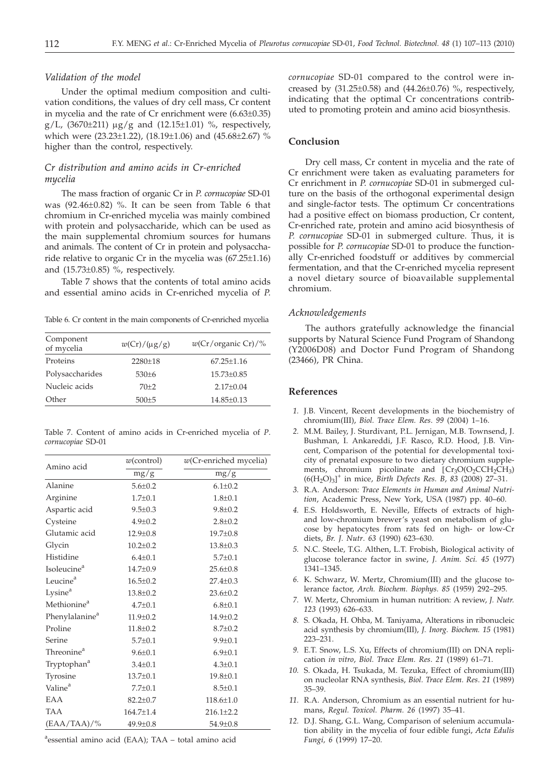#### *Validation of the model*

Under the optimal medium composition and cultivation conditions, the values of dry cell mass, Cr content in mycelia and the rate of Cr enrichment were (6.63±0.35) g/L,  $(3670±211) \mu g/g$  and  $(12.15±1.01)$  %, respectively, which were (23.23±1.22), (18.19±1.06) and (45.68±2.67) % higher than the control, respectively.

# *Cr distribution and amino acids in Cr-enriched mycelia*

The mass fraction of organic Cr in *P*. *cornucopiae* SD-01 was (92.46±0.82) %. It can be seen from Table 6 that chromium in Cr-enriched mycelia was mainly combined with protein and polysaccharide, which can be used as the main supplemental chromium sources for humans and animals. The content of Cr in protein and polysaccharide relative to organic Cr in the mycelia was (67.25±1.16) and (15.73±0.85) %, respectively.

Table 7 shows that the contents of total amino acids and essential amino acids in Cr-enriched mycelia of *P*.

Table 6. Cr content in the main components of Cr-enriched mycelia

| Component<br>of mycelia | $w(Cr)/(\mu g/g)$ | w(Cr/crganic Cr)/% |
|-------------------------|-------------------|--------------------|
| Proteins                | $2280 \pm 18$     | $67.25 \pm 1.16$   |
| Polysaccharides         | $530+6$           | $15.73 \pm 0.85$   |
| Nucleic acids           | $70+2$            | $2.17+0.04$        |
| Other                   | $500 + 5$         | $14.85 \pm 0.13$   |
|                         |                   |                    |

Table 7. Content of amino acids in Cr-enriched mycelia of *P*. *cornucopiae* SD-01

| Amino acid                 | $w$ (control)   | $w(Cr$ -enriched mycelia) |  |  |
|----------------------------|-----------------|---------------------------|--|--|
|                            | mg/g            | mg/g                      |  |  |
| Alanine                    | $5.6 \pm 0.2$   | $6.1 \pm 0.2$             |  |  |
| Arginine                   | $1.7 \pm 0.1$   | $1.8 + 0.1$               |  |  |
| Aspartic acid              | $9.5 \pm 0.3$   | $9.8 \pm 0.2$             |  |  |
| Cysteine                   | $4.9 \pm 0.2$   | $2.8 + 0.2$               |  |  |
| Glutamic acid              | $12.9 \pm 0.8$  | 19.7±0.8                  |  |  |
| Glycin                     | $10.2 \pm 0.2$  | $13.8 \pm 0.3$            |  |  |
| Histidine                  | $6.4 \pm 0.1$   | $5.7 \pm 0.1$             |  |  |
| Isoleucine <sup>a</sup>    | $14.7 \pm 0.9$  | $25.6 \pm 0.8$            |  |  |
| Leucine <sup>a</sup>       | $16.5 \pm 0.2$  | $27.4 \pm 0.3$            |  |  |
| Lysine <sup>a</sup>        | $13.8 \pm 0.2$  | $23.6 \pm 0.2$            |  |  |
| Methionine <sup>a</sup>    | $4.7 \pm 0.1$   | $6.8 \pm 0.1$             |  |  |
| Phenylalanine <sup>a</sup> | $11.9 \pm 0.2$  | $14.9 \pm 0.2$            |  |  |
| Proline                    | $11.8 \pm 0.2$  | $8.7 \pm 0.2$             |  |  |
| Serine                     | $5.7 + 0.1$     | $9.9 \pm 0.1$             |  |  |
| Threonine <sup>a</sup>     | $9.6 \pm 0.1$   | $6.9 \pm 0.1$             |  |  |
| Tryptophan <sup>a</sup>    | $3.4 \pm 0.1$   | $4.3 \pm 0.1$             |  |  |
| Tyrosine                   | $13.7 \pm 0.1$  | $19.8 \pm 0.1$            |  |  |
| Valine <sup>a</sup>        | $7.7 \pm 0.1$   | $8.5 \pm 0.1$             |  |  |
| EAA                        | $82.2 \pm 0.7$  | $118.6 \pm 1.0$           |  |  |
| <b>TAA</b>                 | $164.7 \pm 1.4$ | $216.1 \pm 2.2$           |  |  |
| $(EAA/TAA)/\%$             | $49.9 \pm 0.8$  | $54.9 \pm 0.8$            |  |  |
|                            |                 |                           |  |  |

a essential amino acid (EAA); TAA – total amino acid

*cornucopiae* SD-01 compared to the control were increased by  $(31.25\pm0.58)$  and  $(44.26\pm0.76)$  %, respectively, indicating that the optimal Cr concentrations contributed to promoting protein and amino acid biosynthesis.

## **Conclusion**

Dry cell mass, Cr content in mycelia and the rate of Cr enrichment were taken as evaluating parameters for Cr enrichment in *P*. *cornucopiae* SD-01 in submerged culture on the basis of the orthogonal experimental design and single-factor tests. The optimum Cr concentrations had a positive effect on biomass production, Cr content, Cr-enriched rate, protein and amino acid biosynthesis of *P. cornucopiae* SD-01 in submerged culture. Thus, it is possible for *P. cornucopiae* SD-01 to produce the functionally Cr-enriched foodstuff or additives by commercial fermentation, and that the Cr-enriched mycelia represent a novel dietary source of bioavailable supplemental chromium.

#### *Acknowledgements*

The authors gratefully acknowledge the financial supports by Natural Science Fund Program of Shandong (Y2006D08) and Doctor Fund Program of Shandong (23466), PR China.

#### **References**

- *1.* J.B. Vincent, Recent developments in the biochemistry of chromium(III), *Biol. Trace Elem. Res*. *99* (2004) 1–16.
- *2.* M.M. Bailey, J. Sturdivant, P.L. Jernigan, M.B. Townsend, J. Bushman, I. Ankareddi, J.F. Rasco, R.D. Hood, J.B. Vincent, Comparison of the potential for developmental toxicity of prenatal exposure to two dietary chromium supplements, chromium picolinate and  $[Cr_3O(O_2CCH_2CH_3)$  $(6(H_2O)_3)^+$  in mice, *Birth Defects Res. B*,  $83$  (2008) 27–31.
- *3.* R.A. Anderson: *Trace Elements in Human and Animal Nutrition*, Academic Press, New York, USA (1987) pp. 40–60.
- *4.* E.S. Holdsworth, E. Neville, Effects of extracts of highand low-chromium brewer's yeast on metabolism of glucose by hepatocytes from rats fed on high- or low-Cr diets, *Br. J. Nutr*. *63* (1990) 623–630.
- *5.* N.C. Steele, T.G. Althen, L.T. Frobish, Biological activity of glucose tolerance factor in swine, *J. Anim. Sci. 45* (1977) 1341–1345.
- *6.* K. Schwarz, W. Mertz, Chromium(III) and the glucose tolerance factor, *Arch. Biochem. Biophys. 85* (1959) 292–295.
- *7.* W. Mertz, Chromium in human nutrition: A review, *J. Nutr. 123* (1993) 626–633.
- *8.* S. Okada, H. Ohba, M. Taniyama, Alterations in ribonucleic acid synthesis by chromium(III), *J. Inorg. Biochem. 15* (1981) 223–231.
- *9.* E.T. Snow, L.S. Xu, Effects of chromium(III) on DNA replication *in vitro*, *Biol. Trace Elem. Res*. *21* (1989) 61–71.
- *10.* S. Okada, H. Tsukada, M. Tezuka, Effect of chromium(III) on nucleolar RNA synthesis, *Biol. Trace Elem. Res*. *21* (1989) 35–39.
- *11.* R.A. Anderson, Chromium as an essential nutrient for humans, *Regul. Toxicol. Pharm. 26* (1997) 35–41.
- *12.* D.J. Shang, G.L. Wang, Comparison of selenium accumulation ability in the mycelia of four edible fungi, *Acta Edulis Fungi, 6* (1999) 17–20.